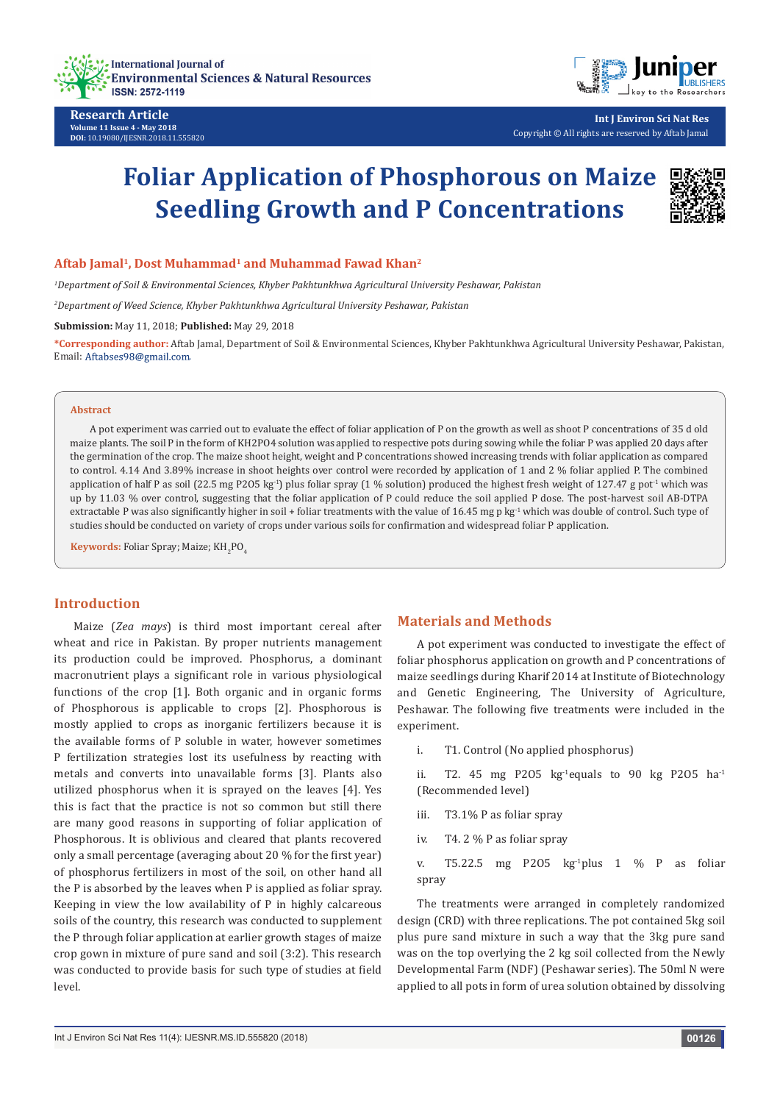

**Research Article Volume 11 Issue 4 - May 2018 DOI:** [10.19080/IJESNR.2018.11.555820](http://dx.doi.org/10.19080/IJESNR.2018.11.555820)



**Int J Environ Sci Nat Res** Copyright © All rights are reserved by Aftab Jamal

# **Foliar Application of Phosphorous on Maize Seedling Growth and P Concentrations**



*1 Department of Soil & Environmental Sciences, Khyber Pakhtunkhwa Agricultural University Peshawar, Pakistan*

*2 Department of Weed Science, Khyber Pakhtunkhwa Agricultural University Peshawar, Pakistan*

**Submission:** May 11, 2018; **Published:** May 29, 2018

**\*Corresponding author:** Aftab Jamal, Department of Soil & Environmental Sciences, Khyber Pakhtunkhwa Agricultural University Peshawar, Pakistan, Email: Aftabses98@gmail.com.

#### **Abstract**

A pot experiment was carried out to evaluate the effect of foliar application of P on the growth as well as shoot P concentrations of 35 d old maize plants. The soil P in the form of KH2PO4 solution was applied to respective pots during sowing while the foliar P was applied 20 days after the germination of the crop. The maize shoot height, weight and P concentrations showed increasing trends with foliar application as compared to control. 4.14 And 3.89% increase in shoot heights over control were recorded by application of 1 and 2 % foliar applied P. The combined application of half P as soil (22.5 mg P2O5 kg<sup>-1</sup>) plus foliar spray (1 % solution) produced the highest fresh weight of 127.47 g pot<sup>-1</sup> which was up by 11.03 % over control, suggesting that the foliar application of P could reduce the soil applied P dose. The post-harvest soil AB-DTPA extractable P was also significantly higher in soil + foliar treatments with the value of 16.45 mg p kg<sup>-1</sup> which was double of control. Such type of studies should be conducted on variety of crops under various soils for confirmation and widespread foliar P application.

**Keywords:** Foliar Spray; Maize; KH<sub>2</sub>PO<sub>4</sub>

#### **Introduction**

Maize (*Zea mays*) is third most important cereal after wheat and rice in Pakistan. By proper nutrients management its production could be improved. Phosphorus, a dominant macronutrient plays a significant role in various physiological functions of the crop [1]. Both organic and in organic forms of Phosphorous is applicable to crops [2]. Phosphorous is mostly applied to crops as inorganic fertilizers because it is the available forms of P soluble in water, however sometimes P fertilization strategies lost its usefulness by reacting with metals and converts into unavailable forms [3]. Plants also utilized phosphorus when it is sprayed on the leaves [4]. Yes this is fact that the practice is not so common but still there are many good reasons in supporting of foliar application of Phosphorous. It is oblivious and cleared that plants recovered only a small percentage (averaging about 20 % for the first year) of phosphorus fertilizers in most of the soil, on other hand all the P is absorbed by the leaves when P is applied as foliar spray. Keeping in view the low availability of P in highly calcareous soils of the country, this research was conducted to supplement the P through foliar application at earlier growth stages of maize crop gown in mixture of pure sand and soil (3:2). This research was conducted to provide basis for such type of studies at field level.

## **Materials and Methods**

A pot experiment was conducted to investigate the effect of foliar phosphorus application on growth and P concentrations of maize seedlings during Kharif 2014 at Institute of Biotechnology and Genetic Engineering, The University of Agriculture, Peshawar. The following five treatments were included in the experiment.

i. T1. Control (No applied phosphorus)

ii. T2. 45 mg P2O5 kg<sup>1</sup>equals to 90 kg P2O5 ha<sup>-1</sup> (Recommended level)

- iii. T3.1% P as foliar spray
- iv. T4. 2 % P as foliar spray

v. T5.22.5 mg P2O5 kg-1plus 1 % P as foliar spray

The treatments were arranged in completely randomized design (CRD) with three replications. The pot contained 5kg soil plus pure sand mixture in such a way that the 3kg pure sand was on the top overlying the 2 kg soil collected from the Newly Developmental Farm (NDF) (Peshawar series). The 50ml N were applied to all pots in form of urea solution obtained by dissolving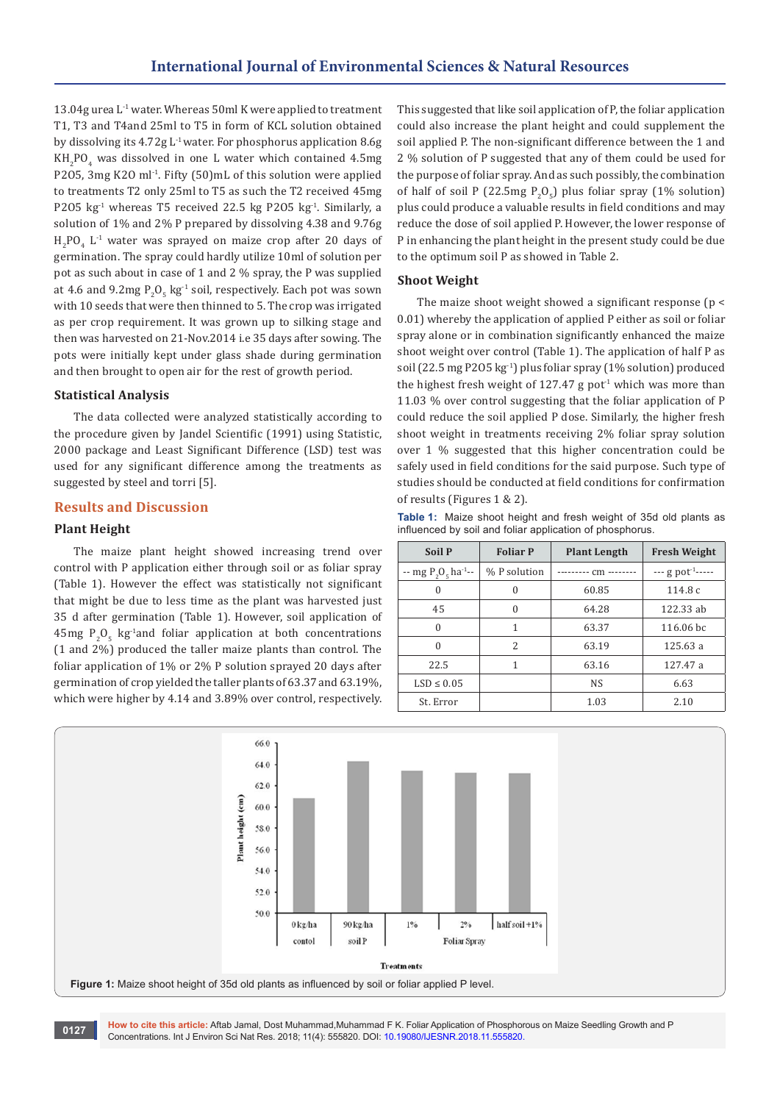13.04g urea L-1 water. Whereas 50ml K were applied to treatment T1, T3 and T4and 25ml to T5 in form of KCL solution obtained by dissolving its 4.72g L-1 water. For phosphorus application 8.6g  $KH_{2}PO_{4}$  was dissolved in one L water which contained 4.5mg P2O5, 3mg K2O ml<sup>-1</sup>. Fifty (50)mL of this solution were applied to treatments T2 only 25ml to T5 as such the T2 received 45mg P2O5 kg<sup>-1</sup> whereas T5 received 22.5 kg P2O5 kg<sup>-1</sup>. Similarly, a solution of 1% and 2% P prepared by dissolving 4.38 and 9.76g  $_{2}P_{2}P_{4}$  L<sup>-1</sup> water was sprayed on maize crop after 20 days of germination. The spray could hardly utilize 10ml of solution per pot as such about in case of 1 and 2 % spray, the P was supplied at 4.6 and 9.2mg  $P_2O_5$  kg<sup>-1</sup> soil, respectively. Each pot was sown with 10 seeds that were then thinned to 5. The crop was irrigated as per crop requirement. It was grown up to silking stage and then was harvested on 21-Nov.2014 i.e 35 days after sowing. The pots were initially kept under glass shade during germination and then brought to open air for the rest of growth period.

# **Statistical Analysis**

The data collected were analyzed statistically according to the procedure given by Jandel Scientific (1991) using Statistic, 2000 package and Least Significant Difference (LSD) test was used for any significant difference among the treatments as suggested by steel and torri [5].

# **Results and Discussion**

# **Plant Height**

The maize plant height showed increasing trend over control with P application either through soil or as foliar spray (Table 1). However the effect was statistically not significant that might be due to less time as the plant was harvested just 35 d after germination (Table 1). However, soil application of  $45$ mg  $P_2O_5$  kg<sup>-1</sup>and foliar application at both concentrations (1 and 2%) produced the taller maize plants than control. The foliar application of 1% or 2% P solution sprayed 20 days after germination of crop yielded the taller plants of 63.37 and 63.19%, which were higher by 4.14 and 3.89% over control, respectively.

This suggested that like soil application of P, the foliar application could also increase the plant height and could supplement the soil applied P. The non-significant difference between the 1 and 2 % solution of P suggested that any of them could be used for the purpose of foliar spray. And as such possibly, the combination of half of soil P (22.5mg  $P_2O_5$ ) plus foliar spray (1% solution) plus could produce a valuable results in field conditions and may reduce the dose of soil applied P. However, the lower response of P in enhancing the plant height in the present study could be due to the optimum soil P as showed in Table 2.

#### **Shoot Weight**

The maize shoot weight showed a significant response (p < 0.01) whereby the application of applied P either as soil or foliar spray alone or in combination significantly enhanced the maize shoot weight over control (Table 1). The application of half P as soil (22.5 mg P2O5 kg-1) plus foliar spray (1% solution) produced the highest fresh weight of 127.47 g pot<sup>1</sup> which was more than 11.03 % over control suggesting that the foliar application of P could reduce the soil applied P dose. Similarly, the higher fresh shoot weight in treatments receiving 2% foliar spray solution over 1 % suggested that this higher concentration could be safely used in field conditions for the said purpose. Such type of studies should be conducted at field conditions for confirmation of results (Figures 1 & 2).

**Table 1:** Maize shoot height and fresh weight of 35d old plants as influenced by soil and foliar application of phosphorus.

| <b>Soil P</b>                      | <b>Foliar P</b>                       | <b>Plant Length</b> | <b>Fresh Weight</b>             |
|------------------------------------|---------------------------------------|---------------------|---------------------------------|
| -- mg $P_2O_e$ ha <sup>-1</sup> -- | % P solution<br>--------- cm -------- |                     | $-$ - g pot <sup>-1</sup> ----- |
| $\Omega$                           | 0                                     | 60.85               | 114.8c                          |
| 45                                 | $\Omega$                              | 64.28               | 122.33 ab                       |
| $\theta$                           | 1                                     | 63.37               | $116.06$ bc                     |
| $\Omega$                           | 2                                     | 63.19               | 125.63 a                        |
| 22.5                               | 1                                     | 63.16               | 127.47 a                        |
| $LSD \leq 0.05$                    |                                       | <b>NS</b>           | 6.63                            |
| St. Error                          |                                       | 1.03                | 2.10                            |



**How to cite this article:** Aftab Jamal, Dost Muhammad,Muhammad F K. Foliar Application of Phosphorous on Maize Seedling Growth and P **CONCERT BUSICION** CONCERTING AND DISTRIBUTION CONCERTING CONCERTING CONCERTING CONCERTING CONCERTING CONCERTING CONCERTING CONCERTING CONCERTING CONCERTING CONCERTING CONCERTING CONCERTING CONCERTING CONCERTING CONCERTING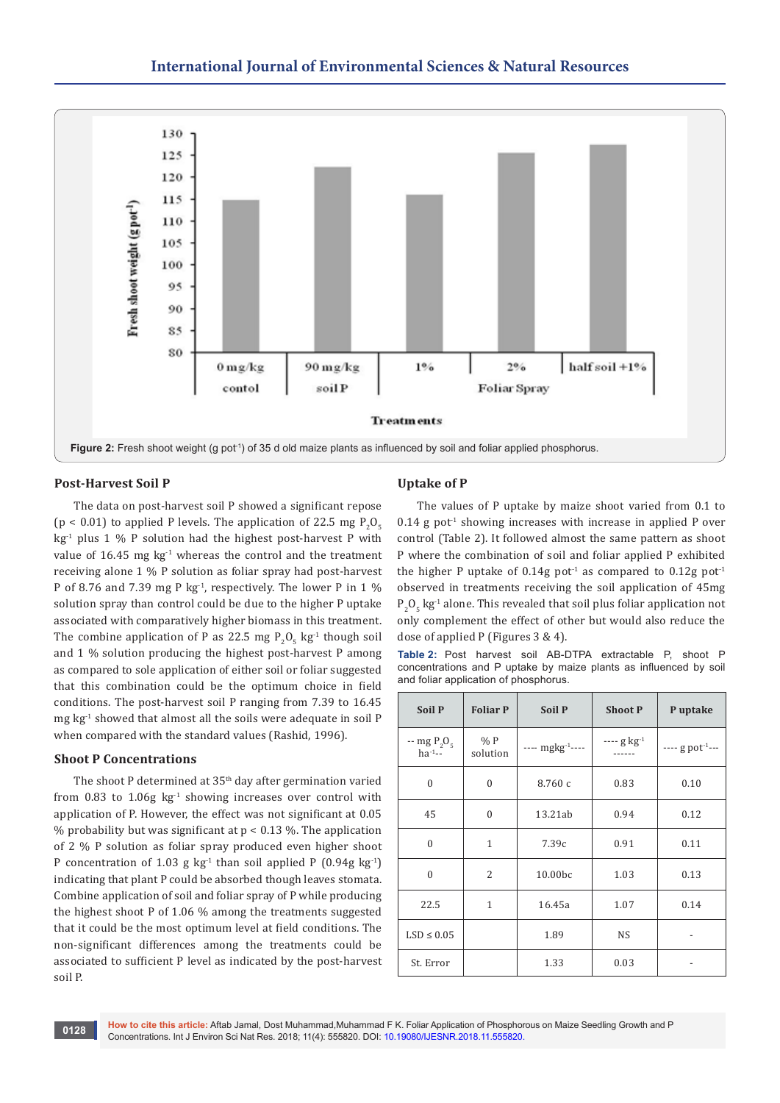

## **Post-Harvest Soil P**

The data on post-harvest soil P showed a significant repose ( $p < 0.01$ ) to applied P levels. The application of 22.5 mg  $P_2O_5$  $kg<sup>-1</sup>$  plus 1 % P solution had the highest post-harvest P with value of 16.45 mg  $kg<sup>-1</sup>$  whereas the control and the treatment receiving alone 1 % P solution as foliar spray had post-harvest P of 8.76 and 7.39 mg P kg<sup>-1</sup>, respectively. The lower P in 1  $\%$ solution spray than control could be due to the higher P uptake associated with comparatively higher biomass in this treatment. The combine application of P as 22.5 mg  $P_2O_5$  kg<sup>-1</sup> though soil and 1 % solution producing the highest post-harvest P among as compared to sole application of either soil or foliar suggested that this combination could be the optimum choice in field conditions. The post-harvest soil P ranging from 7.39 to 16.45 mg kg-1 showed that almost all the soils were adequate in soil P when compared with the standard values (Rashid, 1996).

#### **Shoot P Concentrations**

The shoot P determined at 35<sup>th</sup> day after germination varied from 0.83 to 1.06g  $kg<sup>-1</sup>$  showing increases over control with application of P. However, the effect was not significant at 0.05 % probability but was significant at  $p < 0.13$  %. The application of 2 % P solution as foliar spray produced even higher shoot P concentration of 1.03 g  $kg<sup>-1</sup>$  than soil applied P (0.94g  $kg<sup>-1</sup>$ ) indicating that plant P could be absorbed though leaves stomata. Combine application of soil and foliar spray of P while producing the highest shoot P of 1.06 % among the treatments suggested that it could be the most optimum level at field conditions. The non-significant differences among the treatments could be associated to sufficient P level as indicated by the post-harvest soil P.

## **Uptake of P**

The values of P uptake by maize shoot varied from 0.1 to  $0.14$  g pot<sup>1</sup> showing increases with increase in applied P over control (Table 2). It followed almost the same pattern as shoot P where the combination of soil and foliar applied P exhibited the higher P uptake of 0.14g pot<sup>-1</sup> as compared to 0.12g pot<sup>-1</sup> observed in treatments receiving the soil application of 45mg  $P_2O_5$  kg<sup>-1</sup> alone. This revealed that soil plus foliar application not only complement the effect of other but would also reduce the dose of applied P (Figures 3 & 4).

**Table 2:** Post harvest soil AB-DTPA extractable P, shoot P concentrations and P uptake by maize plants as influenced by soil and foliar application of phosphorus.

| <b>Soil P</b>                 | <b>Foliar P</b> | Soil P                | <b>Shoot P</b> | P uptake                      |
|-------------------------------|-----------------|-----------------------|----------------|-------------------------------|
| $-$ mg $P_2O_5$<br>$ha^{-1}-$ | %P<br>solution  | ---- $mgkg^{-1}$ ---- | $--- g kg-1$   | $---$ g pot <sup>-1</sup> --- |
| $\theta$                      | $\mathbf{0}$    | 8.760 с               | 0.83           | 0.10                          |
| 45                            | $\theta$        | 13.21ab               | 0.94           | 0.12                          |
| $\theta$                      | 1               | 7.39c                 | 0.91           | 0.11                          |
| $\theta$                      | $\overline{2}$  | 10.00bc               | 1.03           | 0.13                          |
| 22.5                          | 1               | 16.45a                | 1.07           | 0.14                          |
| $LSD \leq 0.05$               |                 | 1.89                  | <b>NS</b>      |                               |
| St. Error                     |                 | 1.33                  | 0.03           |                               |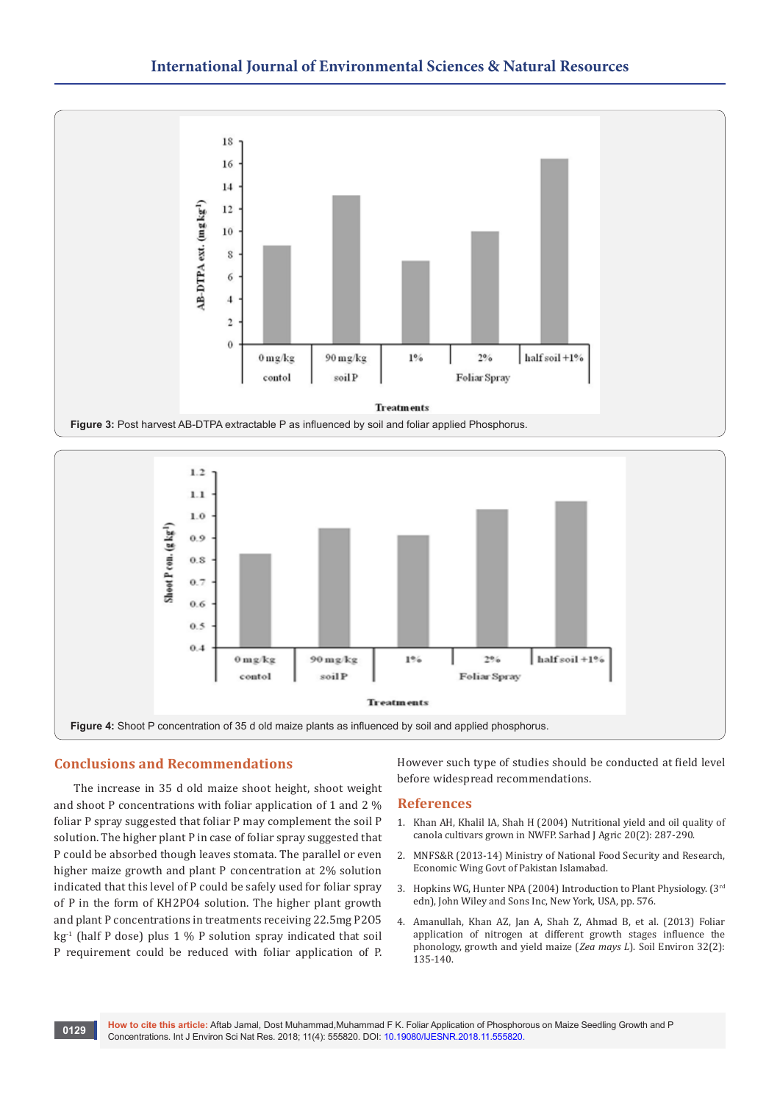



# **Conclusions and Recommendations**

The increase in 35 d old maize shoot height, shoot weight and shoot P concentrations with foliar application of 1 and 2 % foliar P spray suggested that foliar P may complement the soil P solution. The higher plant P in case of foliar spray suggested that P could be absorbed though leaves stomata. The parallel or even higher maize growth and plant P concentration at 2% solution indicated that this level of P could be safely used for foliar spray of P in the form of KH2PO4 solution. The higher plant growth and plant P concentrations in treatments receiving 22.5mg P2O5  $kg<sup>-1</sup>$  (half P dose) plus 1 % P solution spray indicated that soil P requirement could be reduced with foliar application of P.

However such type of studies should be conducted at field level before widespread recommendations.

#### **References**

- 1. [Khan AH, Khalil IA, Shah H \(2004\) Nutritional yield and oil quality of](http://agris.fao.org/agris-search/search.do?recordID=PK2004001147)  [canola cultivars grown in NWFP. Sarhad J Agric 20\(2\): 287-290.](http://agris.fao.org/agris-search/search.do?recordID=PK2004001147)
- 2. MNFS&R (2013-14) Ministry of National Food Security and Research, Economic Wing Govt of Pakistan Islamabad.
- 3. [Hopkins WG, Hunter NPA \(2004\) Introduction to Plant Physiology. \(3rd](https://www.barnesandnoble.com/w/introduction-to-plant-physiology-william-g-hopkins/1117197281) [edn\), John Wiley and Sons Inc, New York, USA, pp. 576.](https://www.barnesandnoble.com/w/introduction-to-plant-physiology-william-g-hopkins/1117197281)
- 4. Amanullah, Khan AZ, Jan A, Shah Z, Ahmad B, et al. (2013) Foliar application of nitrogen at different growth stages influence the phonology, growth and yield maize (*Zea mays L*). Soil Environ 32(2): 135-140.